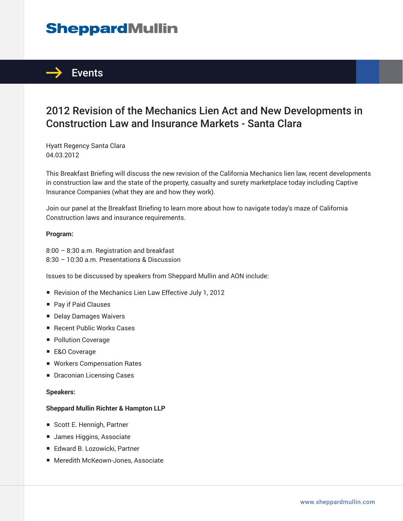# **SheppardMullin**



### 2012 Revision of the Mechanics Lien Act and New Developments in Construction Law and Insurance Markets - Santa Clara

Hyatt Regency Santa Clara 04.03.2012

This Breakfast Briefing will discuss the new revision of the California Mechanics lien law, recent developments in construction law and the state of the property, casualty and surety marketplace today including Captive Insurance Companies (what they are and how they work).

Join our panel at the Breakfast Briefing to learn more about how to navigate today's maze of California Construction laws and insurance requirements.

#### **Program:**

8:00 – 8:30 a.m. Registration and breakfast 8:30 – 10:30 a.m. Presentations & Discussion

Issues to be discussed by speakers from Sheppard Mullin and AON include:

- Revision of the Mechanics Lien Law Effective July 1, 2012
- Pay if Paid Clauses
- Delay Damages Waivers
- Recent Public Works Cases
- Pollution Coverage
- E&O Coverage
- Workers Compensation Rates
- Draconian Licensing Cases

#### **Speakers:**

#### **Sheppard Mullin Richter & Hampton LLP**

- Scott E. Hennigh, Partner
- James Higgins, Associate
- Edward B. Lozowicki, Partner
- Meredith McKeown-Jones, Associate